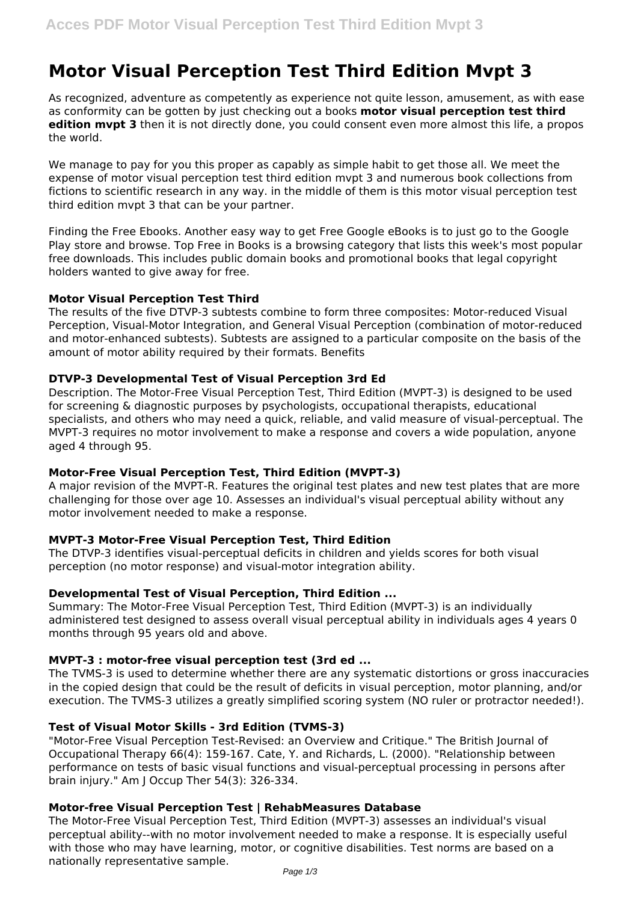# **Motor Visual Perception Test Third Edition Mvpt 3**

As recognized, adventure as competently as experience not quite lesson, amusement, as with ease as conformity can be gotten by just checking out a books **motor visual perception test third edition mvpt 3** then it is not directly done, you could consent even more almost this life, a propos the world.

We manage to pay for you this proper as capably as simple habit to get those all. We meet the expense of motor visual perception test third edition mvpt 3 and numerous book collections from fictions to scientific research in any way. in the middle of them is this motor visual perception test third edition mvpt 3 that can be your partner.

Finding the Free Ebooks. Another easy way to get Free Google eBooks is to just go to the Google Play store and browse. Top Free in Books is a browsing category that lists this week's most popular free downloads. This includes public domain books and promotional books that legal copyright holders wanted to give away for free.

## **Motor Visual Perception Test Third**

The results of the five DTVP-3 subtests combine to form three composites: Motor-reduced Visual Perception, Visual-Motor Integration, and General Visual Perception (combination of motor-reduced and motor-enhanced subtests). Subtests are assigned to a particular composite on the basis of the amount of motor ability required by their formats. Benefits

## **DTVP-3 Developmental Test of Visual Perception 3rd Ed**

Description. The Motor-Free Visual Perception Test, Third Edition (MVPT-3) is designed to be used for screening & diagnostic purposes by psychologists, occupational therapists, educational specialists, and others who may need a quick, reliable, and valid measure of visual-perceptual. The MVPT-3 requires no motor involvement to make a response and covers a wide population, anyone aged 4 through 95.

## **Motor-Free Visual Perception Test, Third Edition (MVPT-3)**

A major revision of the MVPT-R. Features the original test plates and new test plates that are more challenging for those over age 10. Assesses an individual's visual perceptual ability without any motor involvement needed to make a response.

## **MVPT-3 Motor-Free Visual Perception Test, Third Edition**

The DTVP-3 identifies visual-perceptual deficits in children and yields scores for both visual perception (no motor response) and visual-motor integration ability.

## **Developmental Test of Visual Perception, Third Edition ...**

Summary: The Motor-Free Visual Perception Test, Third Edition (MVPT-3) is an individually administered test designed to assess overall visual perceptual ability in individuals ages 4 years 0 months through 95 years old and above.

## **MVPT-3 : motor-free visual perception test (3rd ed ...**

The TVMS-3 is used to determine whether there are any systematic distortions or gross inaccuracies in the copied design that could be the result of deficits in visual perception, motor planning, and/or execution. The TVMS-3 utilizes a greatly simplified scoring system (NO ruler or protractor needed!).

## **Test of Visual Motor Skills - 3rd Edition (TVMS-3)**

"Motor-Free Visual Perception Test-Revised: an Overview and Critique." The British Journal of Occupational Therapy 66(4): 159-167. Cate, Y. and Richards, L. (2000). "Relationship between performance on tests of basic visual functions and visual-perceptual processing in persons after brain injury." Am J Occup Ther 54(3): 326-334.

## **Motor-free Visual Perception Test | RehabMeasures Database**

The Motor-Free Visual Perception Test, Third Edition (MVPT-3) assesses an individual's visual perceptual ability--with no motor involvement needed to make a response. It is especially useful with those who may have learning, motor, or cognitive disabilities. Test norms are based on a nationally representative sample.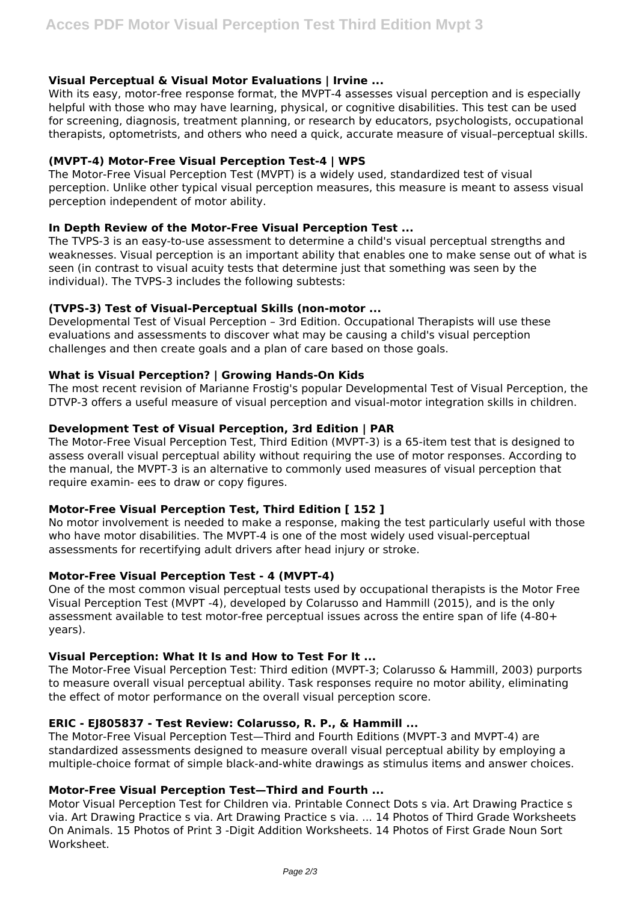## **Visual Perceptual & Visual Motor Evaluations | Irvine ...**

With its easy, motor-free response format, the MVPT-4 assesses visual perception and is especially helpful with those who may have learning, physical, or cognitive disabilities. This test can be used for screening, diagnosis, treatment planning, or research by educators, psychologists, occupational therapists, optometrists, and others who need a quick, accurate measure of visual–perceptual skills.

## **(MVPT-4) Motor-Free Visual Perception Test-4 | WPS**

The Motor-Free Visual Perception Test (MVPT) is a widely used, standardized test of visual perception. Unlike other typical visual perception measures, this measure is meant to assess visual perception independent of motor ability.

## **In Depth Review of the Motor-Free Visual Perception Test ...**

The TVPS-3 is an easy-to-use assessment to determine a child's visual perceptual strengths and weaknesses. Visual perception is an important ability that enables one to make sense out of what is seen (in contrast to visual acuity tests that determine just that something was seen by the individual). The TVPS-3 includes the following subtests:

## **(TVPS-3) Test of Visual-Perceptual Skills (non-motor ...**

Developmental Test of Visual Perception – 3rd Edition. Occupational Therapists will use these evaluations and assessments to discover what may be causing a child's visual perception challenges and then create goals and a plan of care based on those goals.

## **What is Visual Perception? | Growing Hands-On Kids**

The most recent revision of Marianne Frostig's popular Developmental Test of Visual Perception, the DTVP-3 offers a useful measure of visual perception and visual-motor integration skills in children.

## **Development Test of Visual Perception, 3rd Edition | PAR**

The Motor-Free Visual Perception Test, Third Edition (MVPT-3) is a 65-item test that is designed to assess overall visual perceptual ability without requiring the use of motor responses. According to the manual, the MVPT-3 is an alternative to commonly used measures of visual perception that require examin- ees to draw or copy figures.

## **Motor-Free Visual Perception Test, Third Edition [ 152 ]**

No motor involvement is needed to make a response, making the test particularly useful with those who have motor disabilities. The MVPT-4 is one of the most widely used visual-perceptual assessments for recertifying adult drivers after head injury or stroke.

## **Motor-Free Visual Perception Test - 4 (MVPT-4)**

One of the most common visual perceptual tests used by occupational therapists is the Motor Free Visual Perception Test (MVPT -4), developed by Colarusso and Hammill (2015), and is the only assessment available to test motor-free perceptual issues across the entire span of life (4-80+ years).

## **Visual Perception: What It Is and How to Test For It ...**

The Motor-Free Visual Perception Test: Third edition (MVPT-3; Colarusso & Hammill, 2003) purports to measure overall visual perceptual ability. Task responses require no motor ability, eliminating the effect of motor performance on the overall visual perception score.

## **ERIC - EJ805837 - Test Review: Colarusso, R. P., & Hammill ...**

The Motor-Free Visual Perception Test—Third and Fourth Editions (MVPT-3 and MVPT-4) are standardized assessments designed to measure overall visual perceptual ability by employing a multiple-choice format of simple black-and-white drawings as stimulus items and answer choices.

## **Motor-Free Visual Perception Test—Third and Fourth ...**

Motor Visual Perception Test for Children via. Printable Connect Dots s via. Art Drawing Practice s via. Art Drawing Practice s via. Art Drawing Practice s via. ... 14 Photos of Third Grade Worksheets On Animals. 15 Photos of Print 3 -Digit Addition Worksheets. 14 Photos of First Grade Noun Sort Worksheet.